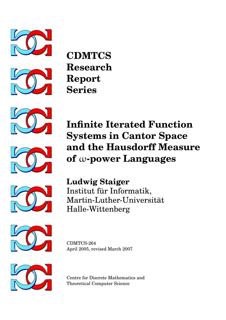



**CDMTCS Research Report Series**





**Infinite Iterated Function Systems in Cantor Space and the Hausdorff Measure of** ω**-power Languages**



**Ludwig Staiger** Institut für Informatik, Martin-Luther-Universität Halle-Wittenberg



CDMTCS-264 April 2005, revised March 2007



Centre for Discrete Mathematics and Theoretical Computer Science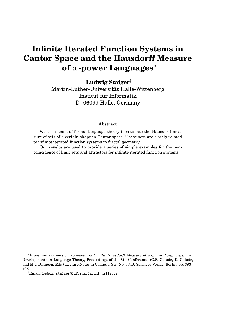# **Infinite Iterated Function Systems in Cantor Space and the Hausdorff Measure of** ω**-power Languages**<sup>∗</sup>

**Ludwig Staiger**†

Martin-Luther-Universität Halle-Wittenberg Institut für Informatik D - 06099 Halle, Germany

#### **Abstract**

We use means of formal language theory to estimate the Hausdorff measure of sets of a certain shape in Cantor space. These sets are closely related to infinite iterated function systems in fractal geometry.

Our results are used to provide a series of simple examples for the noncoincidence of limit sets and attractors for infinite iterated function systems.

<sup>∗</sup>A preliminary version appeared as *On the Hausdorff Measure of* ω*-power Languages.* in: Developments in Language Theory, Proceedings of the 8th Conference, (C.S. Calude, E. Calude, and M.J. Dinneen, Eds.) Lecture Notes in Comput. Sci. No. 3340, Springer-Verlag, Berlin, pp. 393– 405.

<sup>†</sup>Email: ludwig.staiger@informatik.uni-halle.de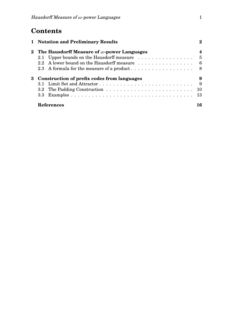## **Contents**

|  | 1 Notation and Preliminary Results                                                                |        |  |  |  |
|--|---------------------------------------------------------------------------------------------------|--------|--|--|--|
|  | 2 The Hausdorff Measure of $\omega$ -power Languages<br>2.1 Upper bounds on the Hausdorff measure | 4<br>5 |  |  |  |
|  | 2.2 A lower bound on the Hausdorff measure                                                        | $-6$   |  |  |  |
|  | 3 Construction of prefix codes from languages                                                     |        |  |  |  |
|  |                                                                                                   | 9      |  |  |  |
|  |                                                                                                   | 10     |  |  |  |
|  |                                                                                                   | 13     |  |  |  |
|  | References                                                                                        | 16     |  |  |  |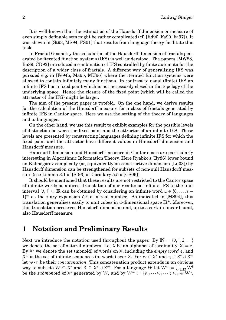It is well-known that the estimation of the Hausdorff dimension or measure of even simply definable sets might be rather complicated (cf. [Ed90, Fa90, Fa97]). It was shown in [St93, MS94, FS01] that results from language theory facilitate this task.

In Fractal Geometry the calculation of the Hausdorff dimension of fractals generated by iterated function systems (IFS) is well understood. The papers [MW88, Ba89, CD93] introduced a combination of IFS controlled by finite automata for the description of a wider class of fractals. A different way of generalising IFS was pursued e.g. in [Fe94b, Ma95, MU96] where the iterated function systems were allowed to contain infinitely many functions. In contrast to usual (finite) IFS an infinite IFS has a fixed point which is not necessarily closed in the topology of the underlying space. Hence the closure of the fixed point (which will be called the attractor of the IFS) might be larger.

The aim of the present paper is twofold. On the one hand, we derive results for the calculation of the Hausdorff measure for a class of fractals generated by infinite IFS in Cantor space. Here we use the setting of the theory of languages and  $\omega$ -languages.

On the other hand, we use this result to exhibit examples for the possible levels of distinction between the fixed point and the attractor of an infinite IFS. These levels are presented by constructing languages defining infinite IFS for which the fixed point and the attractor have different values in Hausdorff dimension and Hausdorff measure.

Hausdorff dimension and Hausdorff measure in Cantor space are particularly interesting in Algorithmic Information Theory. Here Ryabko's [Ry86] lower bound on Kolmogorov complexity (or, equivalently on constructive dimension [Lu03]) by Hausdorff dimension can be strengthened for subsets of non-null Hausdorff measure (see Lemma 3.1 of [St93] or Corollary 5.5 of[CS06]).

It should be mentioned that these results are not restricted to the Cantor space of infinite words as a direct translation of our results on infinite IFS to the unit interval  $[0, 1] \subseteq \mathbb{R}$  can be obtained by considering an infinite word  $\xi \in \{0, \ldots, r - \}$  $1$ <sup>ω</sup> as the r-ary expansion 0.ξ of a real number. As indicated in [MS94], this translation generalises easily to unit cubes in d-dimensional space  $\mathbb{R}^d$ . Moreover, this translation preserves Hausdorff dimension and, up to a certain linear bound, also Hausdorff measure.

## **1 Notation and Preliminary Results**

Next we introduce the notation used throughout the paper. By  $\mathbb{N} = \{0, 1, 2, \ldots\}$ we denote the set of natural numbers. Let X be an alphabet of cardinality  $|X| = r$ . By X <sup>∗</sup> we denote the set (monoid) of words on X, including the *empty word* e, and  $X^{\omega}$  is the set of infinite sequences (ω-words) over X. For  $w \in X^*$  and  $η \in X^* \cup X^{\omega}$ let w · η be their *concatenation*. This concatenation product extends in an obvious way to subsets  $W\subseteq X^*$  and  $B\subseteq X^*\cup X^\omega$ . For a language  $W$  let  $W^*:=\bigcup_{\mathfrak{i}\in\mathbb{N}}W^{\mathfrak{i}}$ be the submonoid of  $\mathsf{X}^*$  generated by W, and by  $\mathsf{W}^{\omega}:=\{w_1\cdots w_i\cdots:w_i\in\mathsf{W}\setminus\mathsf{W}^*\}$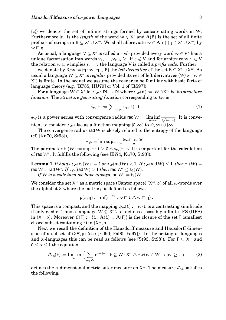{e}} we denote the set of infinite strings formed by concatenating words in W. Furthermore  $|w|$  is the *length* of the word  $w \in X^*$  and  $A(B)$  is the set of all finite prefixes of strings in  $B \subseteq X^* \cup X^{\omega}$ . We shall abbreviate  $w \in A(\eta)$   $(\eta \in X^* \cup X^{\omega})$  by  $w \sqsubset n$ .

As usual, a language  $V \subseteq X^*$  is called a *code* provided every word  $w \in V^*$  has a unique factorisation into words  $v_1, \ldots, v_k \in V$ . If  $e \notin V$  and for arbitrary  $w, v \in V$ the relation  $w \sqsubset v$  implies  $w = v$  the language V is called a *prefix code*. Further

we denote by  $B/w := \{\eta : w \cdot \eta \in B\}$  the *left derivative* of the set  $B \subseteq X^* \cup X^{\omega}$ . As usual a language  $W \subseteq X^*$  is *regular* provided its set of left derivatives  $\{W \mid w : w \in X^*\}$ X ∗ } is finite. In the sequel we assume the reader to be familiar with basic facts of language theory (e.g. [BP85, HU79] or Vol. 1 of [RS97])

For a language  $W \subseteq X^*$  let  $s_W : \mathbb{N} \to \mathbb{N}$  where  $s_W(n) := |W \cap X^n|$  be its *structure function.* The *structure generating function* corresponding to  $s_W$  is

$$
\mathfrak{s}_{W}(t) := \sum\nolimits_{i \in \mathbb{N}} s_{W}(i) \cdot t^{i}.
$$
 (1)

 $\mathfrak{s}_{W}$  is a power series with convergence radius rad  $W \coloneqq \liminf$ <sup>n</sup>→∞  $\frac{1}{\sqrt[n]{s_W(n)}}$ . It is convenient to consider  $\mathfrak{s}_W$  also as a function mapping  $[0,\infty)$  to  $[0,\infty) \cup {\infty}$ .

The convergence radius rad W is closely related to the entropy of the language (cf. [Ku70, St93]),

$$
\textstyle H_{W}=\limsup_{n\to\infty}\frac{\log_{r}(1+s_{W}(n))}{n}\;.
$$

The parameter  $t_1(W) := \sup\{t : t \geq 0 \land \mathfrak{s}_W(t) \leq 1\}$  is important for the calculation of rad W<sup>∗</sup> . It fulfills the following (see [Ei74, Ku70, St93]).

**Lemma 1** *It holds*  $\mathfrak{s}_{W}(\mathsf{t}_{1}(W)) = 1$  *or*  $\mathfrak{s}_{W}(\mathsf{rad}\,W) < 1$ *. If*  $\mathfrak{s}_{W}(\mathsf{rad}\,W) \leq 1$ *, then*  $\mathsf{t}_{1}(W) =$ rad  $W =$  rad  $W^*$ . If  $\mathfrak{s}_W$ (rad  $W) > 1$  *then* rad  $W^* \le \mathbf{t}_1(W)$ .

*If* W *is a code then we have always* rad  $W^* = t_1(W)$ *.* 

We consider the set  $X^{\omega}$  as a metric space (Cantor space)  $(X^{\omega}, \rho)$  of all  $\omega$ -words over the alphabet X where the metric  $\rho$  is defined as follows.

$$
\rho(\xi,\eta):=\inf\{r^{-|w|}:w\sqsubset\xi\wedge w\sqsubset\eta\}\,.
$$

This space is a compact, and the mapping  $\phi_w(\xi) := w \cdot \xi$  is a contracting similitude if only  $w \neq e.$  Thus a language  $W \subseteq X^* \setminus \{e\}$  defines a possibly infinite IFS (IIFS) in  $(X^{\omega}, \rho)$ . Moreover,  $\mathcal{C}(F) := \{\xi : A(\xi) \subseteq A(F)\}$  is the closure of the set F (smallest closed subset containing F) in  $(X^{\omega}, \rho)$ .

Next we recall the definition of the Hausdorff measure and Hausdorff dimension of a subset of  $(X^{\omega}, \rho)$  (see [Ed90, Fa90, Fa97]). In the setting of languages and w-languages this can be read as follows (see [St93, St98]). For  $F \subseteq X^{\omega}$  and  $0 < \alpha < 1$  the equation

$$
\underline{\mathbf{\Pi}}_{\alpha}(\mathrm{F}) := \lim_{\mathrm{L}\to\infty} \ \mathrm{inf}\Biggl\{\sum_{w\in W} \mathrm{r}^{-\alpha\cdot|w|} : \mathrm{F} \subseteq W\cdot \mathrm{X}^{\omega}\wedge \forall w(w\in W\rightarrow |w|\geq 1) \Biggr\} \tag{2}
$$

defines the α-dimensional metric outer measure on  $\mathsf{X}^{\omega}.$  The measure  $I\!\!L_{\alpha}$  satisfies the following.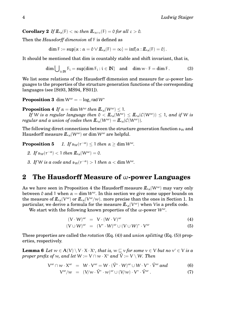**Corollary 2** *If*  $\mathbb{L}_{\alpha}(\mathsf{F}) < \infty$  *then*  $\mathbb{L}_{\alpha+\epsilon}(\mathsf{F}) = 0$  *for all*  $\epsilon > 0$ *.* 

Then the *Hausdorff dimension* of F is defined as

 $\dim F := \sup\{\alpha : \alpha = 0 \vee I\!\!I_{\alpha}(F) = \infty\} = \inf\{\alpha : I\!\!I_{\alpha}(F) = 0\}.$ 

It should be mentioned that dim is countably stable and shift invariant, that is,

$$
\dim \bigcup\nolimits_{i \in \mathbb{N}} F_i = \sup \{ \dim F_i : i \in \mathbb{N} \} \quad \text{and} \quad \dim \mathcal{W} \cdot F = \dim F. \tag{3}
$$

We list some relations of the Hausdorff dimension and measure for  $\omega$ -power languages to the properties of the structure generation functions of the corresponding languages (see [St93, MS94, FS01]).

 $\bf{Proposition ~3} ~ \dim W^{\omega} = - \log_{r} \operatorname{rad} W^{*}$ 

**Proposition 4** *If*  $\alpha = \dim W^{\omega}$  *then*  $\mathbb{L}_{\alpha}(W^{\omega}) < 1$ *.* 

*If* W is a regular language then  $0 < I\!I\!I_{\alpha}(W^{\omega}) \leq I\!I_{\alpha}(\mathcal{C}(W^{\omega})) \leq 1$ , and if W is *regular and a union of codes then*  $\mathbf{L}_{\alpha}(W^{\omega}) = \mathbf{L}_{\alpha}(\mathcal{C}(W^{\omega}))$ *.* 

The following direct connections between the structure generation function  $\mathfrak{s}_W$  and Hausdorff measure  $L_{\alpha}(W^{\omega})$  or dim  $W^{\omega}$  are helpful.

**Proposition 5**  $\alpha$ <sup>-α</sup>) ≤ 1 *then* α ≥ dim W<sup>ω</sup>.

- *2. If*  $\mathfrak{s}_{W}(\mathbf{r}^{-\alpha}) < 1$  *then*  $\mathbf{\mathbf{\mathit{L}}}_{\alpha}(W^{\omega}) = 0$ *.*
- *3. If* W is a code and  $\mathfrak{s}_w(\mathfrak{r}^{-\alpha}) > 1$  then  $\alpha < \dim W^{\omega}$ .

### **2 The Hausdorff Measure of** ω**-power Languages**

As we have seen in Proposition 4 the Hausdorff measure  $I\!L_{\alpha}(W^{\omega})$  may vary only between 0 and 1 when  $\alpha = \dim W^{\omega}$ . In this section we give some upper bounds on the measure of  $I\!\!L_\alpha(V^\omega)$  or  $I\!\!L_\alpha(V^\omega/w).$  more precise than the ones in Section 1. In particular, we derive a formula for the measure  $I\!\!L_{\alpha}(V^{\omega})$  when Vis a prefix code.

We start with the following known properties of the  $\omega$ -power  $W^{\omega}$ .

$$
(V \cdot W)^{\omega} = V \cdot (W \cdot V)^{\omega} \tag{4}
$$

$$
(\mathsf{V} \cup \mathsf{W})^{\omega} = (\mathsf{V}^* \cdot \mathsf{W})^{\omega} \cup (\mathsf{V} \cup \mathsf{W})^* \cdot \mathsf{V}^{\omega} \tag{5}
$$

These properties are called the *rotation* (Eq. (4)) and *union splitting* (Eq. (5)) properties, respectively.

**Lemma 6** *Let*  $w \in A(V) \setminus V \cdot X \cdot X^*$ , that is,  $w \sqsubseteq v$  for some  $v \in V$  but no  $v' \in V$  is a  $\emph{proper prefix of } w \emph{, and let } W \coloneqq V \cap w \cdot \mathsf{X}^* \emph{ and } \hat{V} \coloneqq V \setminus W.$  Then

$$
V^{\omega} \cap w \cdot X^{\omega} = W \cdot V^{\omega} = W \cdot (\hat{V}^* \cdot W)^{\omega} \cup W \cdot V^* \cdot \hat{V}^{\omega} \text{ and } (6)
$$

$$
V^{\omega}/w = (V/w \cdot \hat{V}^* \cdot w)^{\omega} \cup (V/w) \cdot V^* \cdot \hat{V}^{\omega} . \tag{7}
$$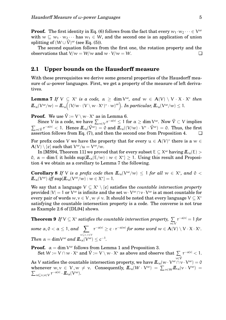**Proof.** The first identity in Eq. (6) follows from the fact that every  $w_1 \cdot w_2 \dots \in V^{\omega}$ with  $w \sqsubset w_1 \cdot w_2 \cdots$  has  $w_1 \in W$ , and the second one is an application of union splitting of  $(W \cup \hat{V})^{\omega}$  (see Eq. (5)).

The second equation follows from the first one, the rotation property and the observations that  $V/w = W/w$  and  $w \cdot V/w = W$ .

#### **2.1 Upper bounds on the Hausdorff measure**

With these prerequisites we derive some general properties of the Hausdorff measure of  $\omega$ -power languages. First, we get a property of the measure of left derivatives.

**Lemma 7** If  $V \subseteq X^*$  is a code,  $\alpha \geq \dim V^{\omega}$ , and  $w \in A(V) \setminus V \cdot X \cdot X^*$  then  $I\!\!L_\alpha(V^\omega/w)=I\!\!L_\alpha\Big((V\!/\textstyle{w}\cdot(V\setminus w\cdot X^*)^*\cdot w)^\omega\Big).$  *In particular,*  $I\!\!L_\alpha(V^\omega/w)\leq 1.$ 

**Proof.** We use  $\hat{\mathsf{V}} := \mathsf{V} \setminus \mathsf{w} \cdot \mathsf{X}^*$  as in Lemma 6.

Since V is a code, we have  $\sum_{v\in V} r^{-\alpha|v|}\leq 1$  for  $\alpha\geq \dim V^\omega.$  Now  $\hat{V}\subset V$  implies  $\sum_{v \in \hat{V}} r^{-\alpha|v|} < 1$ . Hence  $I\!I\!L_{\alpha}(\hat{V}^{\omega}) = 0$  and  $I\!I\!L_{\alpha}((V/w) \cdot V^* \cdot \hat{V}^{\omega}) = 0$ . Thus, the first assertion follows from Eq. (7), and then the second one from Proposition 4.

For prefix codes V we have the property that for every  $u \in A(V)^*$  there is a  $w \in E$  $\mathbf{A}(V) \setminus \{e\}$  such that  $\mathsf{V}^\omega/\mathfrak{u} = \mathsf{V}^\omega/\mathfrak{w}.$ 

In [MS94, Theorem 11] we proved that for every subset  $\mathsf{E}\subseteq\mathsf{X}^{\omega}$  having  $I\!\!L_{\alpha}(\mathsf{E})>$  $\mathfrak{0}, \ \alpha = \dim \mathsf{E} \text{ it holds } \sup\{I\!\!L_\alpha(\mathsf{E}/w) : w \in \mathsf{X}^*\} \geq 1. \ \text{ Using this result and Proposition}$ tion 4 we obtain as a corollary to Lemma 7 the following.

**Corollary 8** If V is a prefix code then  $\mathbf{L}_{\alpha}(V^{\omega}/w) \leq 1$  for all  $w \in X^*$ , and  $0 <$  $I\!I\!I_{\alpha}(V^{\omega})$  *iff* sup{ $I\!I\!I_{\alpha}(V^{\omega}/w)$  :  $w \in X^*$ } = 1.

We say that a language  $V \subseteq X^* \setminus \{e\}$  satisfies the *countable intersection property* provided  $|V|=1$  or  $V^\omega$  is infinite and the set  $w\cdot V^\omega\cap v\cdot V^\omega$  is at most countable for every pair of words  $w, v \in V$  ,  $w \neq v.$  It should be noted that every language  $V \subseteq X^*$ satisfying the countable intersection property is a code. The converse is not true as Example 2.6 of [DL94] shows.

**Theorem 9** If  $V \subseteq X^*$  satisfies the countable intersection property,  $\sum$ v∈V  $r^{-\alpha|\nu|} = 1$  *for some*  $\alpha, \beta < \alpha \leq 1$ , and  $\sum$  $w\mathop{\sqsubseteq} v,v\!\in\!V$  $r^{-\alpha|\nu|} \geq c \cdot r^{-\alpha|\nu|}$  for some word  $w \in \mathbf{A}(V) \setminus V \cdot X \cdot X^*.$ *Then*  $\alpha = \dim V^{\omega}$  *and*  $\mathbf{L}_{\alpha}(V^{\omega}) \leq c^{-1}$ *.* 

**Proof.**  $\alpha = \dim V^{\omega}$  follows from Lemma 1 and Proposition 3. Set  $W := V \cap w \cdot \mathsf{X}^*$  and  $\hat{\mathsf{V}} := V \setminus w \cdot \mathsf{X}^*$  as above and observe that  $\sum \, r^{-\alpha|v|} < 1.$ 

v∈V^ As V satisfies the countable intersection property, we have  $I\!I\!I_\alpha(\overline{w\cdot V^\omega\cap v\cdot V^\omega})=0$ whenever  $w, v \in V, w \neq v$ . Consequently,  $I\!\!L_\alpha(W \cdot V^\omega) = \sum_{v \in W} I\!\!L_\alpha(v \cdot V^\omega)$  $\overline{\Sigma}$  $) =$ <sub>w⊑ν,ν∈V</sub> r<sup>−α|ν|</sup> ·  $I\!\!L_{\alpha}(V^{\omega}).$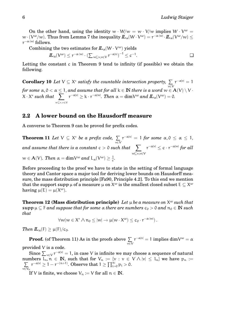On the other hand, using the identity  $w \cdot W/w = w \cdot V/w$  implies  $W \cdot V^{\omega} =$  $w\cdot (V^\omega/w). \text{ Thus from Lemma 7 the inequality } \bm L_\alpha(V\cdot V^\omega) = \text{r}^{-\alpha\cdot |w|}\cdot \bm L_\alpha(V^\omega/w) \leq$  $r^{-\alpha\cdot |w|}$  follows.

Combining the two estimates for  $I\!\!L_{\alpha}(W\cdot V^{\omega})$  yields

$$
I\!\!L_{\alpha}(V^{\omega}) \leq r^{-\alpha \cdot |w|} \cdot (\sum_{w \sqsubseteq v, v \in V} r^{-\alpha |v|})^{-1} \leq c^{-1}.
$$

Letting the constant c in Theorem 9 tend to infinity (if possible) we obtain the following.

**Corollary 10** Let  $V \subseteq X^*$  satisfy the countable intersection property,  $\sum$ v∈V  $r^{-\alpha|\nu|}=1$ *for some*  $\alpha, 0 < \alpha \leq 1,$  *and assume that for all*  $\rm k \in \rm I\!N$  *there is a word*  $\rm w \in A(V) \setminus V \cdot$  $X \cdot X^*$  *such that*  $\sum$ w⊑v,v∈V  $r^{-\alpha|\nu|} \geq k \cdot r^{-\alpha|\nu|}$ *. Then*  $\alpha = \dim V^{\omega}$  and  $I\!\!L_{\alpha}(V^{\omega}) = 0$ *.* 

### **2.2 A lower bound on the Hausdorff measure**

A converse to Theorem 9 can be proved for prefix codes.

**Theorem 11** Let  $V \subseteq X^*$  be a prefix code,  $\Sigma$ v∈V  $r^{-\alpha|\nu|}\,=\,1$  for some  $\,\alpha, 0\,\leq\,\alpha\,\leq\,1,$  $and\; assume\; that\; there\; is\; a\; constant\; c > 0\; such\; that\ \ \, \sum \;$ w⊑v,v∈V  $r^{-\alpha|\nu|} \leq \mathfrak{c} \cdot r^{-\alpha|\nu|}$  for all  $w \in \mathbf{A}(V)$ . Then  $\alpha = \dim V^{\omega}$  and  $L_{\alpha}(V^{\omega}) \geq \frac{1}{c}$  $\frac{1}{c}$ .

Before proceeding to the proof we have to state in the setting of formal language theory and Cantor space a major tool for deriving lower bounds on Hausdorff measure, the mass distribution principle [Fa90, Principle 4.2]. To this end we mention that the support  $\mathsf{supp}\,\mathfrak\mu$  of a measure  $\mathfrak\mu$  on  $\mathsf X^\omega$  is the smallest closed subset E  $\subseteq\mathsf X^\omega$ having  $\mu(E) = \mu(X^{\omega}).$ 

**Theorem 12 (Mass distribution principle)** Let  $\mu$  be a measure on  $X^{\omega}$  such that  $\sup p \mu \subset F$  *and suppose that for some*  $\alpha$  *there are numbers*  $c_0 > 0$  *and*  $n_0 \in \mathbb{N}$  *such that*

$$
\forall w(w \in X^* \wedge \mathfrak{n}_0 \leq |w| \rightarrow \mu(w \cdot X^{\omega}) \leq c_0 \cdot r^{-\alpha \cdot |w|}).
$$

*Then*  $\mathbf{L}_{\alpha}(\mathsf{F}) \geq \mu(\mathsf{F})/c_0$ .

**Proof.** (of Theorem 11) As in the proofs above  $\Sigma$ v∈V  $\mathop{\mathsf{r}}\nolimits^{-\alpha|\mathcal{v}|} = 1 \text{ implies } \dim \! \mathsf{V}^{\omega} = \alpha$ provided V is a code.

Since  $\sum_{v \in V} r^{-\alpha|v|} = 1$ , in case V is infinite we may choose a sequence of natural  $v \in V_{\nu \in V}$ <br>numbers  $l_n, n$  $\overline{y}$  $l_n, n \in \mathbb{N}$ , such that for  $V_n := \{v : v \in V \wedge |v| \leq l_n\}$  we have  $p_n :=$ v∈V<sup>n</sup>  $r^{-\alpha|\nu|} \geq 1 - r^{-(n+1)}.$  Observe that  $1 \geq \prod_{i=0}^{\infty} p_i > 0.$ 

If V is finite, we choose  $V_n := V$  for all  $n \in \mathbb{N}$ .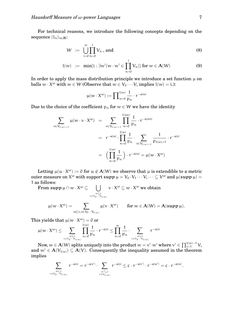For technical reasons, we introduce the following concepts depending on the sequence  $(l_n)_{n\in\mathbb{N}}$ :

$$
W := \bigcup_{i=0}^{\infty} \prod_{n=0}^{i} V_n \text{ , and } \tag{8}
$$

$$
l(w) := \min\{i : \exists w'(w \cdot w' \in \prod_{n=0}^{i} V_n)\} \text{ for } w \in \mathcal{A}(W)
$$
 (9)

In order to apply the mass distribution principle we introduce a set function  $\mu$  on balls  $w \cdot X^{\omega}$  with  $w \in W$  (Observe that  $w \in V_0 \cdots V_i$  implies  $l(w) = i$ .):

$$
\mu(w\cdot X^\omega):=\prod\nolimits_{n=0}^{l(w)}\frac{1}{p_n}\cdot r^{-\alpha|w|}
$$

Due to the choice of the coefficient  $p_n$  for  $w \in W$  we have the identity

$$
\sum_{v \in V_{l(w)+1}} \mu(w \cdot v \cdot X^{\omega}) = \sum_{v \in V_{l(w)+1}} \prod_{n=0}^{l(w)} \frac{1}{p_n} \cdot r^{-\alpha|w|}
$$

$$
= r^{-\alpha|w|} \cdot \prod_{n=0}^{l(w)} \frac{1}{p_n} \cdot \sum_{v \in V_{l(w)+1}} \frac{1}{p_{l(w)+1}} \cdot r^{-\alpha|v|}
$$

$$
= \left(\prod_{n=0}^{l(w)} \frac{1}{p_n}\right) \cdot r^{-\alpha|w|} = \mu(w \cdot X^{\omega})
$$

Letting  $\mu(\mathfrak{u} \cdot X^{\omega}) := 0$  for  $\mathfrak{u} \notin A(W)$  we observe that  $\mu$  is extendible to a metric outer measure on  $X^\omega$  with support  $\mathsf{supp}\,\mu=V_0\!\cdot\! V_1\cdots V_i\cdots\subseteq V^\omega$  and  $\mu(\mathsf{supp}\,\mu)=$ 1 as follows:

From  $\mathsf{supp}\,\mu\cap w\cdot\mathsf{X}^\omega\subseteq\quad \Big\vert\ \Big\vert\ \ \ \ \ v\cdot\mathsf{X}^\omega\subseteq w\cdot\mathsf{X}^\omega$  we obtain  $v \in V_0 \cdots V_{l(w)}$  $u(x, v^{\omega}) =$  $\mathcal{L}^{(\omega)} = \sum_{\mu(\nu \cdot X^{(\omega)})}$  for  $w \in A(W) = A(\text{supp }\mu).$ 

$$
\mu(w \cdot \lambda^{-1}) = \sum_{w \subseteq v, v \in V_0 \cdots V_{L(w)}} \mu(v \cdot \lambda^{-1}) \quad \text{for } w \in A(w) = A(\mathbf{su})
$$

This yields that  $\mu(w \cdot X^{\omega}) = 0$  or

$$
\mu(w\cdot X^\omega)\leq \sum_{w\sqsubseteq v\atop v\in V_0\cdots V_{l(w)}}\prod_{n=0}^{l(w)}\frac{1}{p_n}\cdot r^{-\alpha|v|}\leq \prod_{n=0}^\infty\frac{1}{p_n}\cdot \sum_{w\sqsubseteq v\atop v\in V_0\cdots V_{l(w)}}r^{-\alpha|v|}
$$

 $\mathrm{Now}, w\in \mathbf{A}(W)$  splits uniquely into the product  $w=v'\!\cdot\!w'$  where  $v'\in \prod_{i=1}^{l(w)-1}V_i$ and  $w' \in A(V_{l(w)}) \subseteq A(V)$ . Consequently the inequality assumed in the theorem implies

$$
\sum_{\genfrac{}{}{0pt}{}{\scriptstyle{w\sqsubseteq v}}{\scriptstyle{v\in V_0\cdots V_{l(w)}}}}r^{-\alpha|v|}=r^{-\alpha|v'|}\cdot\sum_{\genfrac{}{}{0pt}{}{\scriptstyle{w'\sqsubseteq v}}{\scriptstyle{v\in V_{l(w)}}}}r^{-\alpha|v|}\leq c\cdot r^{-\alpha|v'|}\cdot r^{-\alpha|w'|}=c\cdot r^{-\alpha|w|}\,.
$$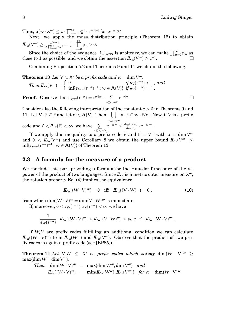Thus,  $\mu(w \cdot X^{\omega}) \leq c \cdot \prod_{n=0}^{\infty} p_n^{-1} \cdot r^{-\alpha|w|}$  for  $w \in X^*$ .

Next, we apply the mass distribution principle (Theorem 12) to obtain  $I\!\!L_\alpha(V^\omega) \geq \frac{\mu(V^\omega)}{c\cdot\Pi^\infty-r}$  $\frac{\mu(V^{\omega})}{c \cdot \prod_{n=0}^{\infty} p_n^{-1}} = \frac{1}{c}$  $\frac{1}{c} \cdot \prod_{i=1}^{\infty}$  $p_n > 0$ .

n=0 Since the choice of the sequence  $(l_n)_{n\in\mathbb{N}}$  is arbitrary, we can make  $\prod_{n=0}^{\infty} p_n$  as  ${\rm close~to~1~as~possible,~and~we~obtain~the~assertion}~\pmb{\mathit{I\!I}}_\alpha(\mathit{V}^\omega) \geq \text{c}^{-1}$ . ❏

Combining Proposition 5.2 and Theorems 9 and 11 we obtain the following.

 $\inf_{\mathfrak{b}_{\mathsf{V}/\mathcal{W}}}(\mathfrak{r}^{-\alpha})^{-1}$  :  $\mathcal{W}\in\mathbf{A}(\mathsf{V})\},$  if  $\mathfrak{s}_{\mathsf{V}}(\mathfrak{r}^{-\alpha})=1$  .

**Theorem 13** Let  $V \subseteq X^*$  be a prefix code and  $\alpha = \dim V^{\omega}$ .  $\mathcal{I}$ *hen*  $\mathbf{L}_{\alpha}(V^{\omega}) = \begin{cases} 0, & \text{if } \mathfrak{s}_{V}(r^{-\alpha}) < 1, \text{ and} \\ \inf(\mathfrak{s}_{\alpha}(r^{-\alpha})^{-1} \cdot \mathfrak{m} \in \mathbf{A}(V) & \text{if } \mathfrak{s}_{V}(r^{-\alpha}) = 1. \end{cases}$ 

**Proof.** Observe that  $\mathfrak{s}_{V/w}(r^{-\alpha}) = r^{\alpha|W|}$ .  $\sum$  $w\mathbf{\subseteq }v,v\in V$  $r^{-\alpha|\nu}$ .  $\Box$ 

Consider also the following interpretation of the constant  $c > 0$  in Theorems 9 and 11. Let  $V \cdot F \subseteq F$  and let  $w \in A(V)$ . Then  $\left( \int v \cdot F \subseteq w \cdot F/w$ . Now, if V is a prefix w⊑v,v∈V

 $\text{code and } 0 < I\!\!L_\alpha(\mathsf{F}) < \infty, \, \text{we have} \, \sum\limits_{w \sqsubseteq \mathsf{v}, \mathsf{v} \in \mathsf{V}}$  $r^{-\alpha |\nu|} \leq \frac{L_{\alpha}(\mathrm{F}/w)}{L_{\alpha}(\mathrm{F})}$  $\frac{d\alpha(F/w)}{dL_\alpha(F)} \cdot r^{-\alpha \cdot |w|}.$ 

If we apply this inequality to a prefix code V and  $F = V^{\omega}$  with  $\alpha = \dim V^{\omega}$ and  $0 < I\!\!L_\alpha(V^\omega)$  and use Corollary 8 we obtain the upper bound  $I\!\!L_\alpha(V^\omega) \leq 1$  $\inf_{\mathfrak{p}_{\mathcal{V}/\mathcal{W}}(\mathfrak{r}^{-\alpha})^{-1}: \mathcal{W}\in \mathcal{A}(\mathcal{V})\}$  of Theorem 13.

#### **2.3 A formula for the measure of a product**

We conclude this part providing a formula for the Hausdorff measure of the  $\omega$ power of the product of two languages. Since  $I\!\!L_{\alpha}$  is a metric outer measure on  $\mathsf{X}^{\omega},$ the rotation property Eq. (4) implies the equivalence

$$
\underline{\mathbf{\Pi}}_{\alpha}((W \cdot V)^{\omega}) = 0 \quad \text{iff} \quad \underline{\mathbf{\Pi}}_{\alpha}((V \cdot W)^{\omega}) = 0 , \tag{10}
$$

from which  $\dim(W\cdot V)^\omega = \dim(V\cdot W)^\omega$  is immediate.

If, moreover,  $0 < \mathfrak{s}_W(r^{-\alpha}), \mathfrak{s}_V(r^{-\alpha}) < \infty$  we have

$$
\frac{1}{\mathfrak{s}_W(r^{-\alpha})}\cdot I\!\!L_\alpha((W\cdot V)^\omega)\leq I\!\!L_\alpha((V\cdot W)^\omega)\leq \mathfrak{s}_V(r^{-\alpha})\cdot I\!\!L_\alpha((W\cdot V)^\omega)\,.
$$

If W, V are prefix codes fulfilling an additional condition we can calculate  $I\!\!L_\alpha((W\cdot V)^\omega)$  from  $I\!\!L_\alpha(W^\omega)$  and  $I\!\!L_\alpha(V^\omega)$ . Observe that the product of two prefix codes is again a prefix code (see [BP85]).

**Theorem 14** Let  $V, W \subseteq X^*$  be prefix codes which satisfy  $\dim(W \cdot V)^{\omega} \geq$  $\max\{\dim \mathsf{W}^{\omega}, \dim \mathsf{V}^{\omega}\}.$ 

Then 
$$
\dim(W \cdot V)^{\omega} = \max\{\dim W^{\omega}, \dim V^{\omega}\}\
$$
 and  

$$
I\!\!L_{\alpha}((W \cdot V)^{\omega}) = \min\{I\!\!L_{\alpha}(W^{\omega}), I\!\!L_{\alpha}(V^{\omega})\}\
$$
for  $\alpha = \dim(W \cdot V)^{\omega}$ .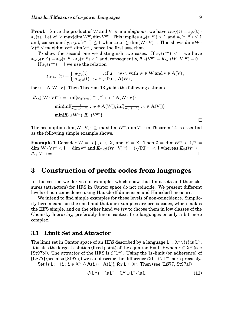**Proof.** Since the product of W and V is unambiguous, we have  $\mathfrak{s}_{W \cdot V}(t) = \mathfrak{s}_W(t)$ .  $\mathfrak{s}_\mathsf{V}(\mathsf{t})$ . Let  $\alpha' \geq \max\{\dim \mathsf{W}^\omega, \dim \mathsf{V}^\omega\}$ . This implies  $\mathfrak{s}_\mathsf{W}(\mathsf{r}^{-\alpha'}) \leq 1$  and  $\mathfrak{s}_\mathsf{V}(\mathsf{r}^{-\alpha'}) \leq 1$ and, consequently,  $\mathfrak{s}_{W\cdot V}(\mathsf{r}^{-\alpha'})\leq 1$  whence  $\alpha'\geq \dim(W\cdot V)^\omega.$  This shows  $\dim(W\cdot$  $(V)^\omega \le \max\{\dim W^\omega, \dim V^\omega\}$ , hence the first assertion.

To show the second one we distinguish two cases. If  $\mathfrak{s}_{\mathcal{V}}(r^{-\alpha}) < 1$  we have  $\mathfrak{s}_{W\cdot V}(\mathfrak{r}^{-\alpha})=\mathfrak{s}_W(\mathfrak{r}^{-\alpha})\cdot\mathfrak{s}_V(\mathfrak{r}^{-\alpha})< 1$  and, consequently,  $I\!\!L_\alpha(V^\omega)=I\!\!L_\alpha((W\cdot V)^\omega)=0$ If  $\mathfrak{s}_V(r^{-\alpha}) = 1$  we use the relation

$$
\mathfrak{s}_{W\cdot V/u}(t)=\left\{\begin{array}{l} \mathfrak{s}_{V/v}(t) \quad \ \ ,\text{ if } u=w\cdot v \text{ with } w\in W \text{ and } v\in A(V)\,, \\ \mathfrak{s}_{W/u}(t)\cdot \mathfrak{s}_V(t), \text{ if } u\in A(W)\,, \end{array}\right.
$$

for  $u \in A(W \cdot V)$ . Then Theorem 13 yields the following estimate.

$$
\mathbf{\underline{L}}_{\alpha}((W \cdot V)^{\omega}) = \inf \{ \mathfrak{s}_{W \cdot V \mid u}(\mathbf{r}^{-\alpha})^{-1} : u \in \mathbf{A}(W \cdot V) \}
$$
\n
$$
= \min \{ \inf \{ \frac{1}{\mathfrak{s}_{W \mid w}(\mathbf{r}^{-\alpha})} : w \in \mathbf{A}(W) \}, \inf \{ \frac{1}{\mathfrak{s}_{V \mid v}(\mathbf{r}^{-\alpha})} : v \in \mathbf{A}(V) \} \}
$$
\n
$$
= \min \{ \mathbf{\underline{L}}_{\alpha}(W^{\omega}), \mathbf{\underline{L}}_{\alpha}(V^{\omega}) \}
$$

The assumption  $\dim(W\cdot V)^\omega\geq\max\{\dim W^\omega,\dim V^\omega\}$  in Theorem 14 is essential as the following simple example shows.

**Example 1** Consider  $W = \{a\}$ ,  $a \in X$ , and  $V = X$ . Then  $0 = \dim W^{\omega} < 1/2 =$  $\dim(W\cdot V)^\omega < 1 = \dim v^\omega \text{ and } I\!L_{1/2}((W\cdot V)^\omega) = (\sqrt{|X|})^{-1} < 1 \text{ whereas } I\!L_0(W^\omega) =$  $L_1(V^{\omega}) = 1.$  $\mathbb{L}^{(\omega)} = 1.$ 

## **3 Construction of prefix codes from languages**

In this section we derive our examples which show that limit sets and their closures (attractors) for IIFS in Cantor space do not coincide. We present different levels of non-coincidence using Hausdorff dimension and Hausdorff measure.

We intend to find simple examples for these levels of non-coincidence. Simplicity here means, on the one hand that our examples are prefix codes, which makes the IIFS simple, and on the other hand we try to choose them in low classes of the Chomsky hierarchy, preferably linear context-free languages or only a bit more complex.

#### **3.1 Limit Set and Attractor**

The limit set in Cantor space of an IIFS described by a language L  $\subseteq X^* \setminus \{e\}$  is L<sup>w</sup>. It is also the largest solution (fixed point) of the equation F = L  $\cdot$  F when F  $\subseteq$  X $^\omega$  (see [St97b]). The attractor of the IIFS is  $\mathcal{C}(L^{\omega})$ . Using the ls-limit (or adherence) of [LS77] (see also [St97a]) we can describe the difference  $\mathcal{C}(L^{\omega}) \setminus L^{\omega}$  more precisely.

Set ls L := { $\xi : \xi \in X^{\omega} \wedge \mathbf{A}(\xi) \subseteq \mathbf{A}(L)$ }, for  $L \subseteq X^*$ . Then (see [LS77, St97a])

$$
C(L^{\omega}) = \text{ls } L^* = L^{\omega} \cup L^* \cdot \text{ls } L \tag{11}
$$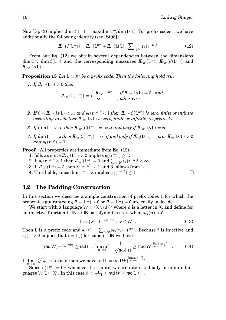Now Eq. (3) implies  $\dim \mathcal{C}(\mathsf{L}^{\omega}) = \max\{\dim \mathsf{L}^{\omega}, \dim \mathsf{Ls} \mathsf{L}\}.$  For prefix codes L we have additionally the following identity (see [St98]).

$$
\underline{\boldsymbol{L}}_{\alpha}(\mathcal{C}(\mathsf{L}^{\omega})) = \underline{\boldsymbol{L}}_{\alpha}(\mathsf{L}^{\omega}) + \underline{\boldsymbol{L}}_{\alpha}(\mathsf{ls}\,\mathsf{L}) \cdot \sum_{\mathfrak{i}\in\mathbb{N}} \mathfrak{s}_{\mathsf{L}}(\mathfrak{r}^{-\alpha})^{\mathfrak{i}} \tag{12}
$$

From our Eq. (12) we obtain several dependencies between the dimensions dim  $L^{\omega}$ , dim  $\mathcal{C}(L^{\omega})$  and the corresponding measures  $I\!I\!I_{\alpha'}(L^{\omega})$ ,  $I\!I\!I_{\alpha'}(\mathcal{C}(L^{\omega}))$  and  $L_{\alpha'}$ (ls L).

**Proposition 15** *Let*  $L \subseteq X^*$  *be a prefix code. Then the following hold true.* 

*1.* If  $\mathbb{L}_{\alpha'}(L^{\omega}) > 0$  *then* 

$$
I\!\!L_{\alpha'}({\mathcal{C}}({\mathsf{L}}^\omega)) = \left\{ \begin{array}{ll} I\!\!L_{\alpha'}({\mathsf{L}}^\omega) & \text{, if } I\!\!L_{\alpha'}({\mathsf{ls}} \,{\mathsf{L}}) = {\mathsf{0}} \text{, and} \\ \infty & \text{, otherwise.} \end{array} \right.
$$

- *2.* If  $0 < I\!\!L_{\alpha'}(l s L) < \infty$  and  $s_L(r^{-\alpha'}) < 1$  then  $I\!\!L_{\alpha'}(\mathcal{C}(L^{\omega}))$  is zero, finite or infinite *according to whether*  $\mathbf{L}_{\alpha}$ (ls L) *is zero, finite or infinite, respectively.*
- *3.* If  $\dim L^{\omega} < \alpha'$  then  $I\!I\!I_{\alpha'}(\mathcal{C}(L^{\omega})) = \infty$  if and only if  $I\!I\!I_{\alpha'}(\text{ls } L) = \infty$ .
- $4.$  *If*  $\dim L^{\omega} = \alpha$  *then*  $I\!I\!I_{\alpha}(\mathcal{C}(L^{\omega})) = \infty$  *if and only if*  $I\!I\!I_{\alpha}(\text{ls }L) = \infty$  *or*  $I\!I\!I_{\alpha}(\text{ls }L) > 0$  $and s_{L}(r^{-\alpha}) = 1.$

**Proof.** All properties are immediate from Eq. (12).

- 1. follows since  $I\!I\!I_{\alpha'}(L^{\omega}) > 0$  implies  $\mathfrak{s}_L(r^{-\alpha'}) \geq 1$ .
- 2. If  $\mathfrak{s}_{\mathbb{L}}(r^{-\alpha'}) < 1$  then  $I\!I\!I_{\alpha'}(\mathbb{L}^{\omega}) = 0$  and  $\sum_{i \in \mathbb{N}} \mathfrak{s}_{\mathbb{L}}(r^{-\alpha})^i < \infty$ .
- $3. \text{ If } I\!I\!L_{\alpha'}(\mathsf{L}^{\omega}) = 0 \text{ then } \mathfrak{s}_{\mathsf{L}}(\mathsf{r}^{-\alpha'}) < 1 \text{ and } 3 \text{ follows from } 2.$
- 4. This holds, since dim  $L^{\omega} = \alpha$  implies  $\mathfrak{s}_L(r^{-\alpha'}) \leq 1$ .

#### **3.2 The Padding Construction**

In this section we describe a simple construction of prefix codes L for which the properties guaranteeing  $I\!\!L_{\alpha'}({\rm L}^{\omega})>0$  or  $I\!\!L_{\alpha'}({\rm L}^{\omega})=0$  are easily to decide.

We start with a language  $W \subseteq (X \setminus \{d\})^*$  where d is a letter in X, and define for an injective function  $f : \mathbb{N} \to \mathbb{N}$  satisfying  $f(n) > n$  when  $s_W(n) > 0$ 

$$
\mathsf{L} := \{ \mathsf{w} \cdot \mathsf{d}^{\mathsf{f}(|\mathsf{w}|) - |\mathsf{w}|} : \mathsf{w} \in \mathsf{W} \} \,.
$$

Then L is a prefix code and  $\mathfrak{s}_L(t) = \sum_{n \geq 0} s_W(n) \cdot t^{f(n)}$ . Because f is injective and  $s_L(i) > 0$  implies that  $i = f(j)$  for some  $j \in \mathbb{N}$  we have

$$
(\mathop{\text{\rm rad}} W)^{\liminf\limits_{n\to\infty}\frac{n}{f(n)}}\geq \mathop{\text{\rm rad}} L=\liminf\limits_{n\to\infty}\frac{1}{f(n)\sqrt{s_W(n)}}\geq (\mathop{\text{\rm rad}} W)^{\limsup\limits_{n\to\infty}\frac{n}{f(n)}}\ .\eqno(14)
$$

If  $\lim_{n \to \infty} \sqrt[n]{s_W(n)}$  exists then we have rad  $L = (rad W)^{\limsup}_{n \to \infty}$  $n\rightarrow\infty$  $\frac{n}{f(n)}$ .

Since  $\mathcal{C}(L^{\omega}) = L^{\omega}$  whenever L is finite, we are interested only in infinite languages W, L  $\subseteq$   $\mathsf{X}^* .$  In this case  $0 < \frac{1}{|\mathsf{X}|-1} \leq \mathsf{rad}\, \mathsf{W} \leq \mathsf{rad}\, \mathsf{L} \leq 1.$ 

$$
\Box
$$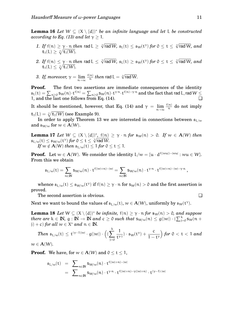**Lemma 16** *Let* W ⊆ (X \ {d}) <sup>∗</sup> *be an infinite language and let* L *be constructed according to Eq. (13) and let*  $\gamma > 1$ *.* 

- *1. If* f(n)  $\geq \gamma \cdot n$  *then* rad L  $\geq \sqrt[3]{\pi}$  $\sqrt{\frac{2}{\pi}}$   $\int \sqrt{\frac{1}{\pi}} f(t) dt \leq \int \sqrt{\frac{1}{\pi}} f(t) dt \leq \int \sqrt{\frac{1}{\pi}} f(t) dt$  $\mathbf{t}_1(L) \geq \sqrt[\chi]{\mathbf{t}_1(W)}.$
- 2. If  $\mathsf{f}(\mathfrak{n}) \leq \gamma \cdot \mathfrak{n}$  *then* <code>rad L</code>  $\leq \sqrt[\gamma]{\pi}$  $\sqrt{\frac{2}{\pi}}$   $\int \sqrt{\frac{1}{\pi}} f(t) dt \leq \int \sqrt{\frac{1}{\pi}} f(t) dt \leq \int \sqrt{\frac{1}{\pi}} f(t) dt$  $\mathbf{t}_1(L) \leq \sqrt[\chi]{\mathbf{t}_1(W)}.$
- 3. If, moreover,  $\gamma = \lim_{n \to \infty} \frac{f(n)}{n}$  $\frac{\binom{n}{n}}{n}$  *then* rad L  $=\sqrt[n]{\mathsf{rad}\,\mathsf{W}}$ .

**Proof.** The first two assertions are immediate consequences of the identity  $\frak s_L(t)=\sum_{n\geq 0} \frak s_W(n)\cdot t^{f(n)}=\sum_{n\geq 0} \frak s_W(n)\cdot t^{\gamma\cdot n}\cdot t^{f(n)-\gamma\cdot n}$  and the fact that rad L, rad  $W$   $\leq$ 1, and the last one follows from Eq.  $(14)$ .

It should be mentioned, however, that Eq. (14) and  $\gamma = \lim_{n \to \infty} \frac{f(n)}{n}$  $\frac{d(n)}{n}$  do not imply  $\mathbf{t}_1(L) = \sqrt{\mathbf{t}_1(W)}$  (see Example 9).

In order to apply Theorem 13 we are interested in connections between  $\mathfrak{s}_{\mathsf{L}/w}$ and  $\mathfrak{s}_{W/w}$  for  $w \in \mathbf{A}(W)$ .

**Lemma 17** *Let*  $W \subseteq (X \setminus \{d\})^*,$   $f(n) \geq \gamma \cdot n$  *for*  $s_W(n) > 0$ *. If*  $w \in A(W)$  *then*  $\mathfrak{s}_{\mathrm{L}/\mathrm{w}}(\mathrm{t})\leq \mathfrak{s}_{\mathrm{W}/\mathrm{w}}(\mathrm{t}^\gamma)$  for  $0\leq \mathrm{t}\leq \sqrt[\chi]{\mathsf{rad}\,\mathrm{W}}.$ *If*  $w \notin A(W)$  *then*  $\mathfrak{s}_{L/w}(t) \leq 1$  *for*  $0 \leq t \leq 1$ *.* 

**Proof.** Let  $w \in A(W)$ . We consider the identity  $L/w = \{u \cdot d^{f(|wu|) - |wu|} : wu \in W\}$ . From this we obtain

$$
\mathfrak{s}_{L/w}(t)=\sum_{n\in \mathbb{N}} s_{W\!/\!w}(n)\cdot t^{f(|w|+n)-|w|}=\sum_{n\in \mathbb{N}} s_{W\!/\!w}(n)\cdot t^{\gamma\cdot n}\cdot t^{f(|w|+n)-|w|-\gamma\cdot n}\,,
$$

whence  $\frak s_{\rm L/w}(\frak t)\leq\frak s_{\rm W/w}(\frak t^\gamma)$  if  $\frak f(\frak n)\geq\gamma\cdot\frak n$  for  $\frak s_{\rm W}(\frak n)>0$  and the first assertion is proved.

The second assertion is obvious.

Next we want to bound the values of  $\mathfrak{s}_{\mathsf{L}/\mathsf{w}}(\mathsf{t}), w \in \mathsf{A}(\mathsf{W})$ , uniformly by  $\mathfrak{s}_\mathsf{W}(\mathsf{t}^\gamma).$ 

**Lemma 18** *Let*  $W \subseteq (X \setminus \{d\})^*$  *be infinite,*  $f(n) \geq \gamma \cdot n$  *for*  $s_W(n) > 0$ *, and suppose there are*  $k \in \mathbb{N}$ ,  $g: \mathbb{N} \to \mathbb{N}$  *and*  $c \geq 0$  *such that*  $s_{W/w}(n) \leq g(|w|) \cdot (\sum_{j=0}^{k} s_W(n + i))$  $(j) + c$  *for all*  $w \in X^*$  *and*  $n \in \mathbb{N}$ .

Then 
$$
\mathfrak{s}_{L/w}(t) \le t^{(\gamma-1)|w|} \cdot g(|w|) \cdot \left( \left( \sum_{j=0}^k \frac{1}{t^{\gamma_j}} \right) \cdot \mathfrak{s}_w(t^{\gamma}) + \frac{c}{1-t^{\gamma}} \right) \text{ for } 0 < t < 1 \text{ and }
$$

 $w \in A(W)$ .

**Proof.** We have, for  $w \in A(W)$  and  $0 \le t \le 1$ ,

$$
\begin{array}{lcl} \mathfrak{s}_{L/w}(t) & = & \displaystyle \sum_{n \in \mathbb{N}} s_{W/w}(n) \cdot t^{f(|w|+n)-|w|} \\ & = & \displaystyle \sum_{n \in \mathbb{N}} s_{W/w}(n) \cdot t^{\gamma \cdot n} \cdot t^{f(|w|+n)-\gamma(|w|+n)} \cdot t^{(\gamma-1)\cdot |w|} \end{array}
$$

$$
\Box
$$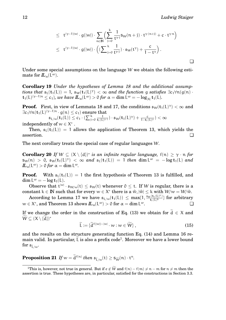$$
\leq t^{(\gamma-1)|w|} \cdot g(|w|) \cdot \sum_{n \in \mathbb{N}} \Bigl( \sum_{j=0}^k \frac{1}{t^{\gamma_j}} s_W(n+j) \cdot t^{\gamma \cdot (n+j)} + c \cdot t^{\gamma \cdot n} \Bigr) \\ \leq t^{(\gamma-1)|w|} \cdot g(|w|) \cdot \Bigl( \bigl( \sum_{j=0}^k \frac{1}{t^{\gamma \cdot j}} \bigr) \cdot s_W(t^{\gamma}) + \frac{c}{1-t^{\gamma}} \Bigr) \, .
$$

Under some special assumptions on the language W we obtain the following estimate for  $L_{\alpha}(\mathsf{L}^{\omega}).$ 

**Corollary 19** *Under the hypotheses of Lemma 18 and the additional assumptions that*  $\mathfrak{s}_L(t_1(L)) = 1$ ,  $\mathfrak{s}_W(t_1(L)^\gamma) < \infty$  *and the function* g *satisfies*  $\exists c_1 \forall n(g(n) \cdot L(G)) \leq c_1 \cdot \dots \cdot L(G)$  $\mathbf{t}_1(L)^{(\gamma-1)n} \leq c_1$ )*, we have*  $\mathbf{L}_{\alpha}(L^{\omega}) > 0$  *for*  $\alpha = \dim L^{\omega} = -\log_{|X|} \mathbf{t}_1(L)$ *.* 

**Proof.** First, in view of Lemmata 18 and 17, the conditions  $\mathfrak{s}_{W}(\mathbf{t}_{1}(L)^{\gamma}) < \infty$  and  $\exists c_1 \forall \mathfrak{n} (\mathbf{t}_1 (\mathrm{L})^{(\gamma -1) \mathfrak{n}} \cdot \mathrm{g} (\mathfrak{n}) \leq \mathrm{c}_1)$  ensure that

 $\mathfrak{s}_{\mathsf{L}/\mathfrak{w}}(\mathbf{t}_1(\mathsf{L})) \leq \mathfrak{c}_1 \cdot (\sum_{\mathfrak{j} = 0}^{\mathsf{k}}$  $\frac{1}{\mathsf{t}_1(L)^\gamma{}^{; \mathsf{j}}}) \cdot \mathfrak{s}_\mathsf{W}(\mathbf{t}_1(L)^\gamma)+\frac{c}{1-\mathsf{t}_1(L)^\gamma}) < \infty$ independently of  $w \in X^*$  .

Then,  $\mathfrak{s}_{L}(\mathfrak{t}_{1}(L)) = 1$  allows the application of Theorem 13, which yields the assertion. ❏

The next corollary treats the special case of regular languages W.

**Corollary 20** *If*  $W \subseteq (X \setminus \{d\})^*$  *is an infinite regular language,*  $f(n) \ge \gamma \cdot n$  *for*  $\mathcal{S}_{W}(n) > 0$ ,  $\mathcal{S}_{W}(t_{1}(L)^{\gamma}) < \infty$  and  $\mathcal{S}_{L}(t_{1}(L)) = 1$  *then* dim  $L^{\omega} = -\log t_{1}(L)$  and  $I\!\!L_\alpha(\mathsf{L}^\omega) > 0$  *for*  $\alpha = \dim \mathsf{L}^\omega$ .

**Proof.** With  $\mathfrak{s}_L(t_1(L)) = 1$  the first hypothesis of Theorem 13 is fulfilled, and  $\dim L^{\omega} = -\log t_1(L).$ 

Observe that  ${\rm t}^{|w|}\cdot\mathfrak{s}_{W/w}(\mathfrak{t})\leq\mathfrak{s}_W(\mathfrak{t})$  whenever  $0\leq\mathfrak{t}.$  If W is regular, there is a constant  $k \in \mathbb{N}$  such that for every  $w \in X^*$  there is a  $\hat{w}, |\hat{w}| \leq k$  with  $W/w = W/\hat{w}$ .

According to Lemma 17 we have  $\mathfrak{s}_{\mathrm{L}/\mathrm{w}}(\mathbf{t}_1(L)) \leq \max\{1, \frac{\mathfrak{s}_{\mathrm{W}}(\mathbf{t}_1(L)^{\mathrm{V}})}{\mathfrak{t}_1(L)^{\mathrm{K}}}$  $\frac{\sqrt{(\mathbf{t}_1(\mathsf{L})^r)}}{\mathbf{t}_1(\mathsf{L})^k}$  for arbitrary  $w \in X^*$ , and Theorem 13 shows  $I\!\!L_{\alpha}(\mathrm{L}^{\omega}) > 0$  for  $\alpha = \dim \mathrm{L}$  $\omega$ .

If we change the order in the construction of Eq. (13) we obtain for  $d \in X$  and  $\widetilde{W} \subseteq (X \setminus \{\widetilde{d}\})^*$ 

$$
\widetilde{\mathsf{L}} := \{ \widetilde{\mathsf{d}}^{\mathrm{f}(|w|)-|w|} \cdot w : w \in \widetilde{\mathsf{W}} \},\tag{15}
$$

and the results on the structure generating function Eq. (14) and Lemma 16 remain valid. In particular,  $\tilde{\sf L}$  is also a prefix code<sup>1</sup>. Moreover we have a lower bound for  $\mathfrak{s}_{\widetilde{L}/w}$ .

## **Proposition 21** *If*  $w = d^{f(n)}$  *then*  $\mathfrak{s}_{\widetilde{L}/w}(t) \geq \mathfrak{s}_{\widetilde{W}}(n) \cdot t^n$ .

<sup>&</sup>lt;sup>1</sup>This is, however, not true in general. But if  $e \notin \widehat{W}$  and  $f(n) - f(m) \neq n - m$  for  $n \neq m$  then the assertion is true. These hypotheses are, in particular, satisfied for the constructions in Section 3.3.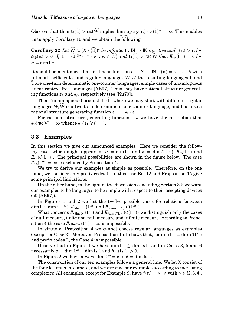Observe that then  $t_1(L) > \text{rad } W$  implies  $\limsup_{n \to \infty} s_{\widetilde{W}}(n) \cdot t_1(L)^n = \infty$ . This enables us to apply Corollary 10 and we obtain the following.

**Corollary 22** *Let*  $\overline{W} \subseteq (X \setminus \{\tilde{d}\})^*$  *be infinite,*  $f : \mathbb{N} \to \mathbb{N}$  *injective and*  $f(n) > n$  *for*  $\sup_{\mathbf{w}} \| \mathbf{w} \| > 0$ . If  $\mathbf{L} = \{ \mathbf{d}^{f(|w|)-|w|} \cdot w : w \in W \}$  and  $\mathbf{t}_1(\mathbf{L}) >$  rad  $W$  *then*  $\mathbf{L}_{\alpha}(\mathbf{L}^{\omega}) = 0$  *for*  $\alpha = \dim \widetilde{\mathsf{L}}^{\omega}$ .

It should be mentioned that for linear functions  $f : \mathbb{N} \to \mathbb{N}$ ,  $f(n) = \gamma \cdot n + \delta$  with rational coefficients, and regular languages  $W, \tilde{W}$  the resulting languages L and L are one-turn deterministic one-counter languages, simple cases of unambiguous linear context-free languages [AB97]. Thus they have rational structure generating functions  $\mathfrak{s}_L$  and  $\mathfrak{s}_{\tilde{l}}$ , respectively (see [Ku70]).

Their (unambiguous) product,  $L \cdot L$ , where we may start with different regular languages  $W, W$  is a two-turn deterministic one-counter language, and has also a rational structure generating function  $\mathfrak{s}_{\text{L} \tilde{\text{I}}} = \mathfrak{s}_{\text{L}} \cdot \mathfrak{s}_{\tilde{\text{I}}}$ .

For rational structure generating functions  $\mathfrak{s}_V$  we have the restriction that  $\mathfrak{s}_{V}(\text{rad }V) = \infty$  whence  $\mathfrak{s}_{V}(\mathbf{t}_{1}(V)) = 1$ .

### **3.3 Examples**

In this section we give our announced examples. Here we consider the following cases which might appear for  $\alpha = \dim L^{\omega}$  and  $\hat{\alpha} = \dim \mathcal{C}(L^{\omega}),$   $I\!\!L_{\alpha}(L^{\omega})$  and  $L_{\hat{\alpha}}(C(\mathsf{L}^{\omega}))$ . The principal possibilities are shown in the figure below. The case  $L_{\alpha}(\mathsf{L}^{\omega}) = \infty$  is excluded by Proposition 4.

We try to derive our examples as simple as possible. Therefore, on the one hand, we consider only prefix codes L. In this case Eq. 12 and Proposition 15 give some principal limitations.

On the other hand, in the light of the discussion concluding Section 3.2 we want our examples to be languages to be simple with respect to their accepting devices (cf. [AB97]).

In Figures 1 and 2 we list the twelve possible cases for relations between  $\dim \mathrm{L}^{\omega}, \dim \mathcal{C}(\mathrm{L}^{\omega}), \bm{\mathit{I\!L}}_{\dim \mathrm{L}^{\omega}}(\mathrm{L}^{\omega}) \text{ and } \bm{\mathit{I\!L}}_{\dim \mathcal{C}(\mathrm{L}^{\omega})}(\mathcal{C}(\mathrm{L}^{\omega})).$ 

What concerns  $I\!I_{\dim L^\omega}(\mathrm{L}^\omega)$  and  $I\!I_{\dim \mathcal{C}(\mathrm{L}^\omega)}(\mathcal{C}(\mathrm{L}^\omega))$  we distinguish only the cases of null-measure, finite non-null measure and infinite measure. According to Proposition 4 the case  $I\!I_{\dim L^{\omega}}(L^{\omega}) = \infty$  is impossible.

In virtue of Proposition 4 we cannot choose regular languages as examples (except for Case 2). Moreover, Proposition 15.1 shows that, for dim  $L^{\omega} = \dim \mathcal{C}(L^{\omega})$ and prefix codes L, the Case 4 is impossible.

Observe that in Figure 1 we have dim  $L^{\omega} \ge$  dim ls L, and in Cases 3, 5 and 6  $\text{necessarily } \alpha = \dim L^{\omega} = \dim \text{ls } L \text{ and } \overline{L}_{\alpha}(\text{ls } L) > 0.$ 

In Figure 2 we have always dim  $L^{\omega} = \alpha < \hat{\alpha} = \dim \text{ls } L$ .

The construction of our ten examples follows a general line. We let X consist of the four letters  $a, b, d$  and  $d,$  and we arrange our examples according to increasing complexity. All examples, except for Example 9, have  $f(n) = \gamma \cdot n$  with  $\gamma \in \{2, 3, 4\}$ .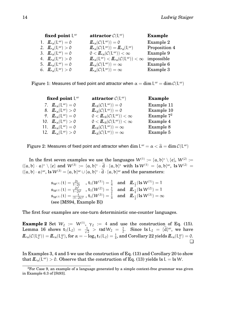| fixed point $L^{\omega}$ |                                                   | attractor $\mathcal{C}(\mathsf{L}^{\omega})$                                                                | <b>Example</b> |
|--------------------------|---------------------------------------------------|-------------------------------------------------------------------------------------------------------------|----------------|
|                          | 1. $\mathbf{L}_{\alpha}(\mathsf{L}^{\omega})=0$   | $\mathbf{L}_{\alpha}(\mathcal{C}(\mathsf{L}^{\omega}))=0$                                                   | Example 2      |
|                          | 2. $\mathbb{L}_{\alpha}(\mathsf{L}^{\omega}) > 0$ | $\mathbf{L}_{\alpha}(\mathcal{C}(\mathsf{L}^{\omega})) = \mathbf{L}_{\alpha}(\mathsf{L}^{\omega})$          | Proposition 4  |
|                          | 3. $\mathbf{L}_{\alpha}(\mathsf{L}^{\omega})=0$   | $0 < I\!\!L_{\alpha}(\mathcal{C}(\mathsf{L}^{\omega})) < \infty$                                            | Example 9      |
|                          | 4. $\mathbb{L}_{\alpha}(L^{\omega}) > 0$          | $\mathbf{L}_{\alpha}(\mathsf{L}^{\omega}) < \mathbf{L}_{\alpha}(\mathcal{C}(\mathsf{L}^{\omega})) < \infty$ | impossible     |
|                          | 5. $\mathbf{L}_{\alpha}(\mathsf{L}^{\omega})=0$   | $\mathbf{L}_{\alpha}(\mathcal{C}(\mathsf{L}^{\omega})) = \infty$                                            | Example 6      |
|                          | 6. $\mathbf{L}_{\alpha}(\mathsf{L}^{\omega}) > 0$ | $\mathbf{L}_{\alpha}(\mathcal{C}(\mathsf{L}^{\omega})) = \infty$                                            | Example 3      |
|                          |                                                   |                                                                                                             |                |

Figure 1: Measures of fixed point and attractor when  $\alpha = \dim \text{L}^{\omega} = \dim \mathcal{C}(\text{L}^{\omega})$ 

| fixed point $L^{\omega}$ |                                                    | attractor $\mathcal{C}(\mathsf{L}^{\omega})$                           | Example       |  |
|--------------------------|----------------------------------------------------|------------------------------------------------------------------------|---------------|--|
|                          | 7. $\mathbf{L}_{\alpha}(\mathbf{L}^{\omega})=0$    | $\mathbf{L}_{\hat{\alpha}}(\mathcal{C}(\mathsf{L}^{\omega}))=0$        | Example 11    |  |
|                          | 8. $\mathbb{L}_{\alpha}(L^{\omega}) > 0$           | $\mathbf{L}_{\hat{\alpha}}(\mathcal{C}(\mathsf{L}^{\omega}))=0$        | Example 10    |  |
|                          | 9. $\mathbb{L}_{\alpha}(\mathsf{L}^{\omega})=0$    | $0 < I\!\!L_{\hat{\alpha}}(\mathcal{C}(\mathsf{L}^{\omega})) < \infty$ | Example $7^2$ |  |
|                          | 10. $\mathbb{L}_{\alpha}(\mathsf{L}^{\omega}) > 0$ | $0 < I\!\!L_{\hat{\alpha}}(\mathcal{C}(\mathsf{L}^{\omega})) < \infty$ | Example 4     |  |
|                          | 11. $\mathbb{L}_{\alpha}(\mathsf{L}^{\omega})=0$   | $\mathbf{L}_{\hat{\alpha}}(\mathcal{C}(\mathsf{L}^{\omega})) = \infty$ | Example 8     |  |
|                          | 12. $\mathbb{L}_{\alpha}(\mathsf{L}^{\omega}) > 0$ | $\mathbf{L}_{\hat{\alpha}}(\mathcal{C}(\mathsf{L}^{\omega})) = \infty$ | Example 5     |  |
|                          |                                                    |                                                                        |               |  |

Figure 2: Measures of fixed point and attractor when  $\dim L^{\omega} = \alpha < \widehat{\alpha} = \dim \mathcal{C}(L^{\omega})$ 

In the first seven examples we use the languages  $W^{(1)} := \{\mathfrak{a},\mathfrak{b}\}^*\setminus\{\mathfrak{e}\},\,W^{(2)} :=$  $({a, b} \cdot a)^* \setminus {e}$  and  $W^{(3)} := {a, b}^* \cdot \tilde{d} \cdot {a, b}^*$  with ls  $W^{(1)} = {a, b}^{\omega}$ , ls  $W^{(2)} =$  $({a}, {b} \cdot {a})^{\omega}$ , ls  $W^{(3)} = {a}, {b}^{\omega} \cup {a}, {b}^* \cdot \tilde{d} \cdot {a}, {b}^{\omega}$  and the parameters:

$$
\begin{array}{ll}\n\mathfrak{s}_{W^{(1)}}(\mathsf{t}) = \frac{2\mathsf{t}}{1-2\mathsf{t}} & , \ \mathfrak{t}_1(W^{(1)}) = \frac{1}{4} & \text{and} & \underline{L}_{\frac{1}{2}}(\mathsf{ls}\,W^{(1)}) = 1 \\
\mathfrak{s}_{W^{(2)}}(\mathsf{t}) = \frac{2\mathsf{t}^2}{1-2\mathsf{t}^2} & , \ \mathfrak{t}_1(W^{(2)}) = \frac{1}{2} & \text{and} & \underline{L}_{\frac{1}{4}}(\mathsf{ls}\,W^{(2)}) = 1 \\
\mathfrak{s}_{W^{(3)}}(\mathsf{t}) = \frac{\mathsf{t}}{(1-2\mathsf{t})^2} & , \ \mathfrak{t}_1(W^{(3)}) = \frac{1}{4} & \text{and} & \underline{L}_{\frac{1}{2}}(\mathsf{ls}\,W^{(3)}) = \infty \\
(\text{see [MS94, Example B])} &\n\end{array}
$$

The first four examples are one-turn deterministic one-counter languages.

**Example 2** Set  $W_2 := W^{(1)}$ ,  $\gamma_2 := 4$  and use the construction of Eq. (15). Lemma 16 shows  $t_1(L_2) = \frac{1}{\sqrt{2}}$  $\frac{1}{2}$  > rad  $W_2$  =  $\frac{1}{2}$  $\frac{1}{2}$ . Since  $\text{ls } L_2 = {\text{d}}^{\omega}$ , we have  $I\!\!L_\alpha(\mathcal{C}(\mathsf{L}_2^\omega)) = I\!\!L_\alpha(\mathsf{L}_2^\omega) \text{, for } \alpha=-\log_4 \mathsf{t}_1(\mathsf{L}_2)=\frac{1}{4} \text{, and Corollary 22 yields } I\!\!L_\alpha(\mathsf{L}_2^\omega)=0 \text{.}$  $\Box$ 

In Examples 3, 4 and 5 we use the construction of Eq. (13) and Corollary 20 to show that  $L_\alpha(\mathsf{L}^\omega) >$  0. Observe that the construction of Eq. (13) yields  $\mathsf{ls} \mathsf{L} = \mathsf{ls} \mathsf{W}.$ 

 $2F$ or Case 9, an example of a language generated by a simple context-free grammar was given in Example 6.3 of [St93].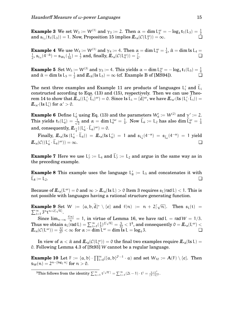**Example 3** We set  $W_3 := W^{(1)}$  and  $\gamma_3 := 2$ . Then  $\alpha = \dim L_3^{\omega} = -\log_4 t_1(L_3) = \frac{1}{2}$ <br>and  $\mathfrak{s}_{L_3}(\mathfrak{t}_1(L_3)) = 1$ . Now, Proposition 15 implies  $\mathbb{L}_{\alpha}(\mathcal{C}(L_3^{\omega})) = \infty$ .  ${\rm and} \; \mathfrak{s}_{\mathsf{L}_3}(\mathsf{t}_1({\mathsf{L}}_3)) = 1. \; {\rm Now, \, Proposition \; 15 \; implies} \; \bm{\mathit{IL}}_\alpha(\mathcal{C}({\mathsf{L}}_3^{\alpha}))$ 

 $\textbf{Example 4} \ \ \textbf{We use} \ \mathsf{W}_4 := \mathsf{W}^{(1)} \ \textbf{and} \ \gamma_4 := 4. \ \ \text{Then} \ \ \alpha = \dim \mathrm{L}_4^\omega = \frac{1}{4}$  $\frac{1}{4}$ ,  $\hat{\alpha} =$  dim ls L<sub>4</sub> = 1  $\frac{1}{2}$ ,  $\mathfrak{s}_{\mathrm{L}_4}(4^{-\hat{\alpha}})=\mathfrak{s}_{\mathsf{W}_4}(\frac{1}{16})=\frac{1}{7}$  and, finally,  $I\!\!L_\alpha(\mathcal{C}(\mathrm{L}_4^\omega))=\frac{7}{6}$ . ❏

**Example 5** Set  $W_5 := W^{(3)}$  and  $\gamma_5 := 4$ . This yields  $\alpha = \dim L_5^{\omega} = -\log_4 t_1(L_5) = \frac{1}{4}$ and  $\hat{\alpha} = \dim \text{ls } L_5 = \frac{1}{2}$  $\frac{1}{2}$  and  $\mathcal{L}_{\hat{\alpha}}$ (**ls** L<sub>5</sub>) =  $\infty$  (cf. Example B of [MS94]).  $\Box$ 

The next three examples and Example 11 are products of languages  $L'_i$  and  $\tilde{L}_i$ constructed according to Eqs. (13) and (15), respectively. Then we can use Theorem 14 to show that  $I\!I\!I_{\alpha}((L_i'.\tilde{L}_i)^{\omega}) = 0$ . Since ls  $\tilde{L}_i = {\tilde{d}}^{\omega}_i$ , we have  $I\!I\!I_{\alpha'}(ls (L_i'.\tilde{L}_i)) = I\!I_{\alpha'}(ls (L_i'.\tilde{L}_i))$  $L_{\alpha'}($ ls L'<sub>i</sub>) for  $\alpha' > 0$ .

**Example 6** Define L'<sub>6</sub> using Eq. (13) and the parameters  $W_6':=W^{(2)}$  and  $\gamma':=2.$ This yields  $t_1(L'_6) = \frac{1}{\sqrt{2}}$  $\frac{1}{2}$  and  $\alpha = \dim L_6'^\omega = \frac{1}{4}$  $\frac{1}{4}$ . Now  $\tilde{L}_6 := L_2$  has also dim  $\tilde{L}_6^{\omega} = \frac{1}{4}$ 4 and, consequently,  $I\!I_{\frac{1}{4}}((L'_6 \cdot \tilde{L}_6)^{\omega}) = 0.$ 

 $\text{Finally, }\mathcal{\underline{I\!I}}_{\alpha}(\text{ls } ( \mathsf{L}'_6 \cdot \mathsf{\widetilde{L}}_6) ) \; = \; \mathcal{\underline{I\!I}}_{\alpha}(\text{ls } \mathsf{L}'_6) \; = \; 1 \; \text{and} \; \mathfrak{s}_{\mathsf{L}'_6}(4^{-\alpha}) \; = \; \mathfrak{s}_{\mathsf{\widetilde{L}}_6}(4^{-\alpha}) \; = \; 1 \; \text{yield}$  $I\!\!L_{\alpha}(\mathcal{C}((\mathsf{L}'_{6}\cdot\widetilde{\mathsf{L}}_{6}))$  $\omega$ )) =  $\infty$ .

**Example 7** Here we use  $L_7' := L_4$  and  $L_7' := L_2$  and argue in the same way as in the preceding example.

**Example 8** This example uses the language  $L'_8 := L_5$  and concatenates it with  $L_8 := L_2.$ 

Because of  $\mathcal{L}_{\alpha}(L^{\omega}) = 0$  and  $\infty > \mathcal{L}_{\alpha}(I_{\alpha}L) > 0$  Item 3 requires  $\mathfrak{s}_{L}(\text{rad } L) < 1$ . This is not possible with languages having a rational structure generating function.

**Example 9** Set  $W := \{a, b, \tilde{d}\}^* \setminus \{e\}$  and  $f(n) := n + 2\lceil \sqrt{n} \rceil$  $\sum_{i=1}^{\infty} 3^n t^{n+2\lceil \sqrt{n} \rceil}.$ Set  $W := \{a, b, d\}^* \setminus \{e\}$  and  $f(n) := n + 2[\sqrt{n}]$ . Then  $\mathfrak{s}_L(t)$ 

Since  $\lim_{n\to\infty} \frac{f(n)}{n} = 1$ , in virtue of Lemma 16, we have rad L = rad W = 1/3. Thus we obtain  $\mathfrak{s}_{\mathsf{L}}(\mathsf{rad}\, \mathsf{L}) = \sum_{\mathsf{i}=1}^\infty (\frac{1}{3})$  $\frac{1}{3}$ )<sup>2[ $\sqrt{n}|$ </sup> =  $\frac{5}{32}$  < 1<sup>3</sup>, and consequently 0 =  $I\!\!L_\alpha(\mathrm{L}^\omega)$  <  $I\!\!L_{\alpha}(\mathcal{C}(\mathsf{L}^{\omega})) = \frac{32}{27} < \infty \text{ for } \alpha := \dim \mathsf{L}^{\omega} = \dim \mathsf{L} \text{s L} = \log_4 3.$ 

In view of  $\alpha < \hat{\alpha}$  and  $I\!I\!L_{\hat{\alpha}}(\mathcal{C}(\mathsf{L}_\iota^\omega)) = 0$  the final two examples require  $I\!I\!L_{\hat{\alpha}}(\textbf{ls }L) =$ 0. Following Lemma 4.3 of [St93] W cannot be a regular language.

**Example 10** Let  $F := \{a, b\} \cdot \prod_{i=0}^{\infty} (\{a, b\}^{2^{i}-1} \cdot a)$  and set  $W_{10} := A(F) \setminus \{e\}$ . Then  $\mathsf{s}_{\mathsf{W}}(\mathfrak{n})=2^{\mathfrak{n}-\lfloor \log_2\mathfrak{n}\rfloor}$  for  $\mathfrak{n}>0.$ 

<sup>3</sup>This follows from the identity  $\sum_{n=1}^{\infty} t^{\lceil \sqrt{n} \rceil} = \sum_{i=1}^{\infty} (2i-1) \cdot t^i = \frac{t+t^2}{(1-t)}$  $\frac{t+t^2}{(1-t)^2}$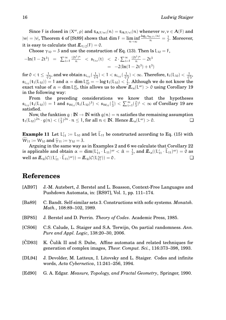Since F is closed in  $(X^{\omega}, \rho)$  and  $s_{A(F/w)}(n) = s_{A(F/v)}(n)$  whenever  $w, v \in A(F)$  and  $|w|=|v|,$  Theorem 4 of [St89] shows that  $\dim\mathsf{F}=\liminf$ <sup>n</sup>→∞  $\frac{\log_4 \mathsf{s}_{\mathbf{A}(\mathsf{F})}(n)}{n} = \frac{1}{2}$  $\frac{1}{2}$ . Moreover, it is easy to calculate that  $I\!I_{1/2}(F) = 0$ .

Choose  $\gamma_{10} = 3$  and use the construction of Eq. (13). Then ls L<sub>10</sub> = F,

$$
-\ln(1-2t^3) = \sum_{i=1}^{\infty} \frac{(2t^3)^n}{n} < \mathfrak{s}_{L_{10}}(t) < 2 \cdot \sum_{i=1}^{\infty} \frac{(2t^3)^n}{n} - 2t^3
$$
\n
$$
= -2(\ln(1-2t^3) + t^3)
$$

 $\text{for }0 < t \leq \frac{1}{\sqrt[3]{2}}, \text{ and we obtain } \mathfrak{s}_{\mathsf{L}_{10}}(\frac{1}{\sqrt[3]{4}}) < 1 < \mathfrak{s}_{\mathsf{L}_{10}}(\frac{1}{\sqrt[3]{3}}) < \infty. \text{ Therefore, } \mathsf{t}_1(\mathsf{L}_{10}) < \frac{1}{\sqrt[3]{3}},$  $\mathfrak{s}_{\mathsf{L}_{10}}(\mathsf{t}_1(\mathsf{L}_{10}))=1$  and  $\alpha=\dim \mathsf{L}_{10}^\omega=-\log \mathsf{t}_1(\mathsf{L}_{10})<\frac{1}{2}$  $\frac{1}{2}$ . Although we do not know the exact value of  $\alpha = \dim \mathsf{L}_{10}^\omega,$  this allows us to show  $I\!\!L_\alpha(\mathsf{L}^\omega) > 0$  using Corollary 19 in the following way:

From the preceding considerations we know that the hypotheses  $\mathfrak{s}_{\mathsf{L}_{10}}(\mathsf{t}_1(\mathsf{L}_{10}))=1$  and  $\mathfrak{s}_{\mathsf{W}_{10}}(\mathsf{t}_1(\mathsf{L}_{10})^3)<\mathfrak{s}_{\mathsf{W}_{10}}(\frac{1}{3})$  $(\frac{1}{3}) < \sum_{i=1}^{\infty} (\frac{2}{3})$  $(\frac{2}{3})^i < \infty$  of Corollary 19 are satisfied.

Now, the funktion  $g : \mathbb{N} \to \mathbb{N}$  with  $g(n) = n$  satisfies the remaining assumption  $L_{10}^{2n} \cdot g(n) < (\frac{1}{2})^{2n} \cdot n \leq 1$ , for all  $n \in \mathbb{N}$ . Hence  $\mathbb{Z}_{\infty}(\mathbb{L}^{\omega}) > 0$ .  ${\bf t}_1(L_{10})^{2n} \cdot g(n) < (\frac{1}{3})$  $\frac{1}{3}$ <sup>2n</sup> · n  $\leq$  1, for all n  $\in$  **IN**. Hence  $\mathbf{L}_{\alpha}(\mathbf{L}^{\omega}) > 0$ .

**Example 11** Let  $L'_{11} := L_{10}$  and let  $L_{11}$  be constructed according to Eq. (15) with  $W_{11} := W_{10}$  and  $\tilde{\gamma}_{11} := \gamma_{10} = 3$ .

Arguing in the same way as in Examples 2 and 6 we calculate that Corollary 22 is applicable and obtain  $\alpha = \dim (L'_{11} \cdot \tilde{L}_{11})^{\omega} < \hat{\alpha} = \frac{1}{2}$  $\frac{1}{2}$ , and  $I\!I\!L_{\alpha}((L'_{11} \cdot \tilde{L}_{11})^{\omega}) = 0$  as well as  $I\!I\!L_{\hat{\alpha}}(C((L'_{11} \cdot \tilde{L}_{11})^{\omega})) = I\!I\!L_{\hat{\alpha}}(C(L''_{11})) = 0$ .

## **References**

| [AB97]          | J.-M. Autebert, J. Berstel and L. Boasson, Context-Free Languages and<br>Pushdown Automata, in: [RS97], Vol. 1, pp. 111–174.                         |
|-----------------|------------------------------------------------------------------------------------------------------------------------------------------------------|
| [Ba89]          | C. Bandt. Self-similar sets 3. Constructions with sofic systems. Monatsh.<br><i>Math.</i> , $108:89-102$ , $1989$ .                                  |
| [BP85]          | J. Berstel and D. Perrin. Theory of Codes. Academic Press, 1985.                                                                                     |
| [CS06]          | C.S. Calude, L. Staiger and S.A. Terwijn, On partial randomness. Ann.<br><i>Pure and Appl. Logic, 138:20-30, 2006.</i>                               |
| $[\text{CD}93]$ | K. Culik II and S. Dube, Affine automata and related techniques for<br>generation of complex images, <i>Theor. Comput. Sci.</i> , 116:373-398, 1993. |
| [DL94]          | J. Devolder, M. Latteux, I. Litovsky and L. Staiger. Codes and infinite<br>words, Acta Cybernetica, 11:241-256, 1994.                                |
| [Ed90]          | G. A. Edgar. Measure, Topology, and Fractal Geometry, Springer, 1990.                                                                                |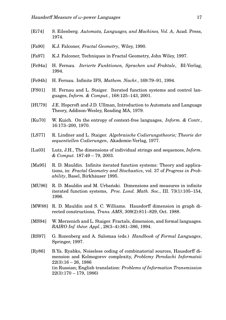- [Ei74] S. Eilenberg. *Automata, Languages, and Machines, Vol. A*, Acad. Press, 1974.
- [Fa90] K.J. Falconer, *Fractal Geometry*, Wiley, 1990.
- [Fa97] K.J. Falconer, Techniques in Fractal Geometry, John Wiley, 1997.
- [Fe94a] H. Fernau. *Iterierte Funktionen, Sprachen und Fraktale*, BI-Verlag, 1994.
- [Fe94b] H. Fernau. Infinite IFS, *Mathem. Nachr.*, 169:79–91, 1994.
- [FS01] H. Fernau and L. Staiger. Iterated function systems and control languages, *Inform. & Comput.*, 168:125–143, 2001.
- [HU79] J.E. Hopcroft and J.D. Ullman, Introduction to Automata and Language Theory, Addison-Wesley, Reading MA, 1979.
- [Ku70] W. Kuich. On the entropy of context-free languages, *Inform. & Contr.*, 16:173–200, 1970.
- [LS77] R. Lindner and L. Staiger. *Algebraische Codierungstheorie; Theorie der sequentiellen Codierungen*, Akademie-Verlag, 1977.
- [Lu03] Lutz, J.H., The dimensions of individual strings and sequences, *Inform. & Comput.* 187:49 – 79, 2003.
- [Ma95] R. D. Mauldin. Infinite iterated function systems: Theory and applications, in: *Fractal Geometry and Stochastics*, vol. 37 of *Progress in Probability*, Basel, Birkhäuser 1995.
- [MU96] R. D. Mauldin and M. Urbanski. Dimensions and measures in infinite iterated function systems, *Proc. Lond. Math. Soc.*, III. 73(1):105–154, 1996.
- [MW88] R. D. Mauldin and S. C. Williams. Hausdorff dimension in graph directed constructions, *Trans. AMS*, 309(2):811–829, Oct. 1988.
- [MS94] W. Merzenich and L. Staiger. Fractals, dimension, and formal languages. *RAIRO Inf. théor. Appl.*, 28(3–4):361–386, 1994.
- [RS97] G. Rozenberg and A. Salomaa (eds.) *Handbook of Formal Languages*, Springer, 1997.
- [Ry86] B.Ya. Ryabko, Noiseless coding of combinatorial sources, Hausdorff dimension and Kolmogorov complexity, *Problemy Peredachi Informatsii*  $22(3):16 - 26, 1986$ (in Russian; English translation: *Problems of Information Transmission* 22(3):170 – 179, 1986)